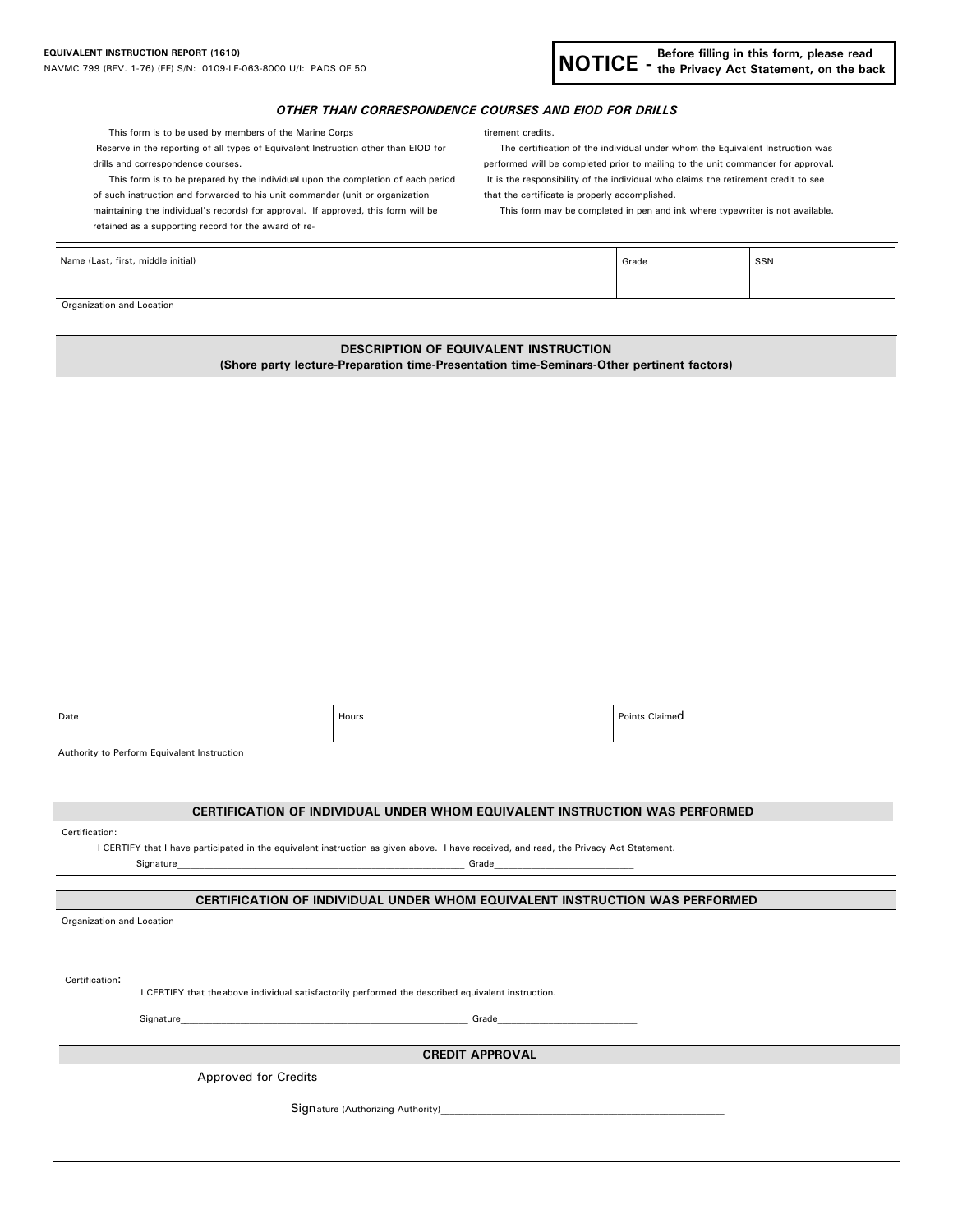

## *OTHER THAN CORRESPONDENCE COURSES AND EIOD FOR DRILLS*

This form is to be used by members of the Marine Corps the theory tirement credits.

Reserve in the reporting of all types of Equivalent Instruction other than EIOD for The certification of the individual under whom the Equivalent Instruction was drills and correspondence courses. performed will be completed prior to mailing to the unit commander for approval.

This form is to be prepared by the individual upon the completion of each period It is the responsibility of the individual who claims the retirement credit to see of such instruction and forwarded to his unit commander (unit or organization that the certificate is properly accomplished. maintaining the individual's records) for approval. If approved, this form will be This form may be completed in pen and ink where typewriter is not available.

retained as a supporting record for the award of re-

| Name (Last, first, middle initial) | Grade | SSN |
|------------------------------------|-------|-----|
|                                    |       |     |

Organization and Location

## **DESCRIPTION OF EQUIVALENT INSTRUCTION**

**(Shore party lecture-Preparation time-Presentation time-Seminars-Other pertinent factors)** 

| Date                                        | Hours | Points Claimed |
|---------------------------------------------|-------|----------------|
| Authority to Perform Equivalent Instruction |       |                |

| . | . |  |
|---|---|--|
|   |   |  |
|   |   |  |

|                           |  | CERTIFICATION OF INDIVIDUAL UNDER WHOM EQUIVALENT INSTRUCTION WAS PERFORMED                                                                                                                                                                                                                                                                                                                                                                                           |  |
|---------------------------|--|-----------------------------------------------------------------------------------------------------------------------------------------------------------------------------------------------------------------------------------------------------------------------------------------------------------------------------------------------------------------------------------------------------------------------------------------------------------------------|--|
| Certification:            |  |                                                                                                                                                                                                                                                                                                                                                                                                                                                                       |  |
|                           |  | I CERTIFY that I have participated in the equivalent instruction as given above. I have received, and read, the Privacy Act Statement.                                                                                                                                                                                                                                                                                                                                |  |
|                           |  | Grade                                                                                                                                                                                                                                                                                                                                                                                                                                                                 |  |
|                           |  |                                                                                                                                                                                                                                                                                                                                                                                                                                                                       |  |
|                           |  | CERTIFICATION OF INDIVIDUAL UNDER WHOM EQUIVALENT INSTRUCTION WAS PERFORMED                                                                                                                                                                                                                                                                                                                                                                                           |  |
| Organization and Location |  |                                                                                                                                                                                                                                                                                                                                                                                                                                                                       |  |
|                           |  |                                                                                                                                                                                                                                                                                                                                                                                                                                                                       |  |
|                           |  |                                                                                                                                                                                                                                                                                                                                                                                                                                                                       |  |
|                           |  |                                                                                                                                                                                                                                                                                                                                                                                                                                                                       |  |
| Certification:            |  | I CERTIFY that the above individual satisfactorily performed the described equivalent instruction.                                                                                                                                                                                                                                                                                                                                                                    |  |
|                           |  |                                                                                                                                                                                                                                                                                                                                                                                                                                                                       |  |
|                           |  | Signature entrance and the state of the state of the state of the state of the state of the state of the state of the state of the state of the state of the state of the state of the state of the state of the state of the<br>Grade <b>Contract Contract Contract Contract Contract Contract Contract Contract Contract Contract Contract Contract Contract Contract Contract Contract Contract Contract Contract Contract Contract Contract Contract Contract</b> |  |
|                           |  |                                                                                                                                                                                                                                                                                                                                                                                                                                                                       |  |
| <b>CREDIT APPROVAL</b>    |  |                                                                                                                                                                                                                                                                                                                                                                                                                                                                       |  |
|                           |  | <b>Approved for Credits</b>                                                                                                                                                                                                                                                                                                                                                                                                                                           |  |
|                           |  |                                                                                                                                                                                                                                                                                                                                                                                                                                                                       |  |